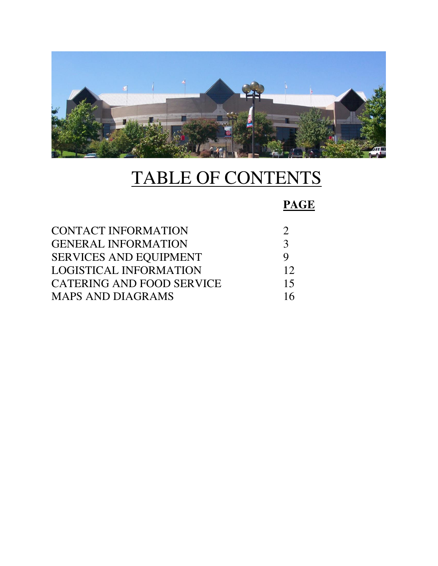

# TABLE OF CONTENTS

## **PAGE**

| 3        |
|----------|
| <b>Q</b> |
| 12       |
| 15       |
| 16       |
|          |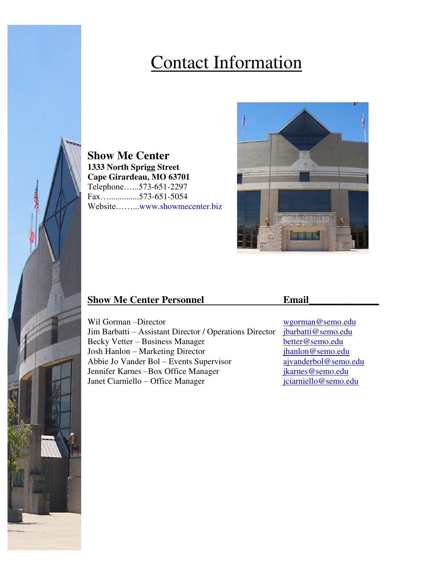# Contact Information

**Show Me Center 1333 North Sprigg Street Cape Girardeau, MO 63701**  Telephone…...573-651-2297 Fax…..............573-651-5054 Website……...www.showmecenter.biz



## **Show Me Center Personnel 2021 2022 2023**

Wil Gorman –Director<br>Jim Barbatti – Assistant Director / Operations Director *ibarbatti@semo.edu* Jim Barbatti – Assistant Director / Operations Director Becky Vetter – Business Manager<br>
Josh Hanlon – Marketing Director<br>
<u>jhanlon@semo.edu</u> Josh Hanlon – Marketing Director Abbie Jo Vander Bol – Events Supervisor [ajvanderbol@semo.edu](mailto:ajvanderbol@semo.edu) Jennifer Karnes –Box Office Manager [jkarnes@semo.edu](mailto:jkarnes@semo.edu) Janet Ciarniello – Office Manager [jciarniello@semo.edu](mailto:jciarniello@semo.edu)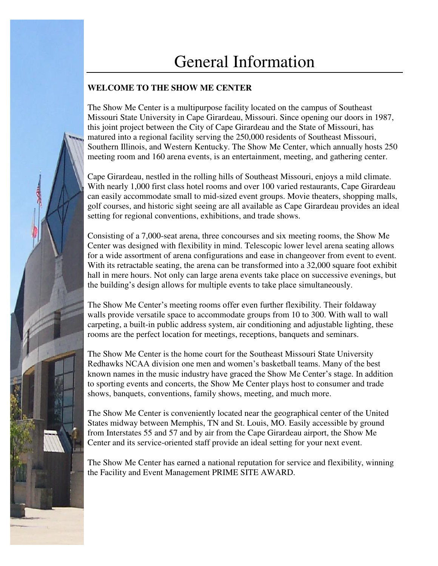# General Information

## **WELCOME TO THE SHOW ME CENTER**

The Show Me Center is a multipurpose facility located on the campus of Southeast Missouri State University in Cape Girardeau, Missouri. Since opening our doors in 1987, this joint project between the City of Cape Girardeau and the State of Missouri, has matured into a regional facility serving the 250,000 residents of Southeast Missouri, Southern Illinois, and Western Kentucky. The Show Me Center, which annually hosts 250 meeting room and 160 arena events, is an entertainment, meeting, and gathering center.

Cape Girardeau, nestled in the rolling hills of Southeast Missouri, enjoys a mild climate. With nearly 1,000 first class hotel rooms and over 100 varied restaurants, Cape Girardeau can easily accommodate small to mid-sized event groups. Movie theaters, shopping malls, golf courses, and historic sight seeing are all available as Cape Girardeau provides an ideal setting for regional conventions, exhibitions, and trade shows.

Consisting of a 7,000-seat arena, three concourses and six meeting rooms, the Show Me Center was designed with flexibility in mind. Telescopic lower level arena seating allows for a wide assortment of arena configurations and ease in changeover from event to event. With its retractable seating, the arena can be transformed into a 32,000 square foot exhibit hall in mere hours. Not only can large arena events take place on successive evenings, but the building's design allows for multiple events to take place simultaneously.

The Show Me Center's meeting rooms offer even further flexibility. Their foldaway walls provide versatile space to accommodate groups from 10 to 300. With wall to wall carpeting, a built-in public address system, air conditioning and adjustable lighting, these rooms are the perfect location for meetings, receptions, banquets and seminars.

The Show Me Center is the home court for the Southeast Missouri State University Redhawks NCAA division one men and women's basketball teams. Many of the best known names in the music industry have graced the Show Me Center's stage. In addition to sporting events and concerts, the Show Me Center plays host to consumer and trade shows, banquets, conventions, family shows, meeting, and much more.

The Show Me Center is conveniently located near the geographical center of the United States midway between Memphis, TN and St. Louis, MO. Easily accessible by ground from Interstates 55 and 57 and by air from the Cape Girardeau airport, the Show Me Center and its service-oriented staff provide an ideal setting for your next event.

The Show Me Center has earned a national reputation for service and flexibility, winning the Facility and Event Management PRIME SITE AWARD.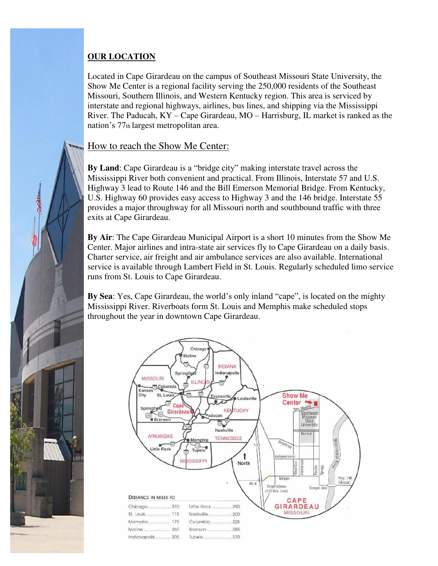## **OUR LOCATION**

١

Located in Cape Girardeau on the campus of Southeast Missouri State University, the Show Me Center is a regional facility serving the 250,000 residents of the Southeast Missouri, Southern Illinois, and Western Kentucky region. This area is serviced by interstate and regional highways, airlines, bus lines, and shipping via the Mississippi River. The Paducah, KY – Cape Girardeau, MO – Harrisburg, IL market is ranked as the nation's 77th largest metropolitan area.

## How to reach the Show Me Center:

**By Land**: Cape Girardeau is a "bridge city" making interstate travel across the Mississippi River both convenient and practical. From Illinois, Interstate 57 and U.S. Highway 3 lead to Route 146 and the Bill Emerson Memorial Bridge. From Kentucky, U.S. Highway 60 provides easy access to Highway 3 and the 146 bridge. Interstate 55 provides a major throughway for all Missouri north and southbound traffic with three exits at Cape Girardeau.

**By Air**: The Cape Girardeau Municipal Airport is a short 10 minutes from the Show Me Center. Major airlines and intra-state air services fly to Cape Girardeau on a daily basis. Charter service, air freight and air ambulance services are also available. International service is available through Lambert Field in St. Louis. Regularly scheduled limo service runs from St. Louis to Cape Girardeau.

**By Sea**: Yes, Cape Girardeau, the world's only inland "cape", is located on the mighty Mississippi River. Riverboats form St. Louis and Memphis make scheduled stops throughout the year in downtown Cape Girardeau.

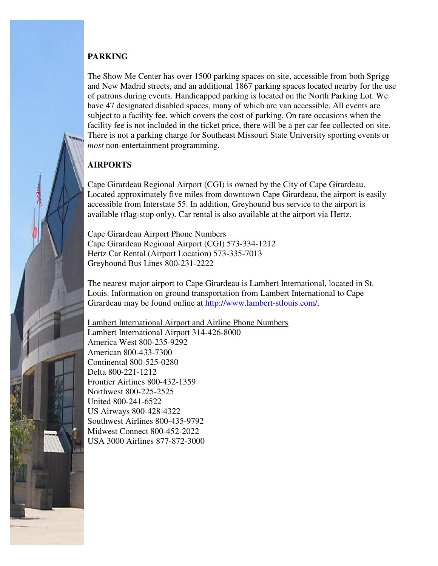## **PARKING**

The Show Me Center has over 1500 parking spaces on site, accessible from both Sprigg and New Madrid streets, and an additional 1867 parking spaces located nearby for the use of patrons during events. Handicapped parking is located on the North Parking Lot. We have 47 designated disabled spaces, many of which are van accessible. All events are subject to a facility fee, which covers the cost of parking. On rare occasions when the facility fee is not included in the ticket price, there will be a per car fee collected on site. There is not a parking charge for Southeast Missouri State University sporting events or *most* non-entertainment programming.

## **AIRPORTS**

Ļ

Cape Girardeau Regional Airport (CGI) is owned by the City of Cape Girardeau. Located approximately five miles from downtown Cape Girardeau, the airport is easily accessible from Interstate 55. In addition, Greyhound bus service to the airport is available (flag-stop only). Car rental is also available at the airport via Hertz.

Cape Girardeau Airport Phone Numbers Cape Girardeau Regional Airport (CGI) 573-334-1212 Hertz Car Rental (Airport Location) 573-335-7013 Greyhound Bus Lines 800-231-2222

The nearest major airport to Cape Girardeau is Lambert International, located in St. Louis. Information on ground transportation from Lambert International to Cape Girardeau may be found online at [http://www.lambert-stlouis.com/.](http://www.lambert-stlouis.com/)

Lambert International Airport and Airline Phone Numbers Lambert International Airport 314-426-8000 America West 800-235-9292 American 800-433-7300 Continental 800-525-0280 Delta 800-221-1212 Frontier Airlines 800-432-1359 Northwest 800-225-2525 United 800-241-6522 US Airways 800-428-4322 Southwest Airlines 800-435-9792 Midwest Connect 800-452-2022 USA 3000 Airlines 877-872-3000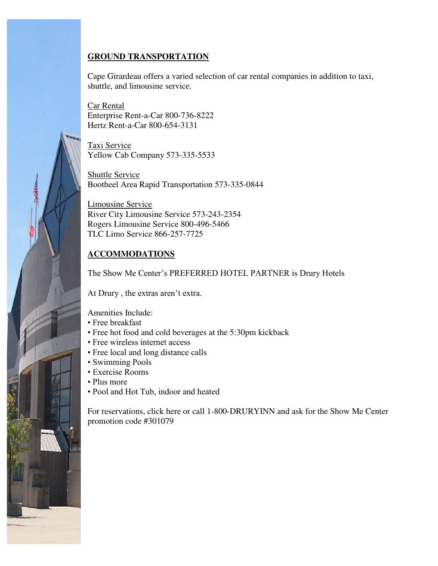## **GROUND TRANSPORTATION**

Cape Girardeau offers a varied selection of car rental companies in addition to taxi, shuttle, and limousine service.

Car Rental Enterprise Rent-a-Car 800-736-8222 Hertz Rent-a-Car 800-654-3131

Taxi Service Yellow Cab Company 573-335-5533

Shuttle Service Bootheel Area Rapid Transportation 573-335-0844

Limousine Service River City Limousine Service 573-243-2354 Rogers Limousine Service 800-496-5466 TLC Limo Service 866-257-7725

## **ACCOMMODATIONS**

The Show Me Center's PREFERRED HOTEL PARTNER is Drury Hotels

At Drury , the extras aren't extra.

Amenities Include:

- Free breakfast
- Free hot food and cold beverages at the 5:30pm kickback
- Free wireless internet access
- Free local and long distance calls
- Swimming Pools
- Exercise Rooms
- Plus more

l

• Pool and Hot Tub, indoor and heated

For reservations, click here or call 1-800-DRURYINN and ask for the Show Me Center promotion code #301079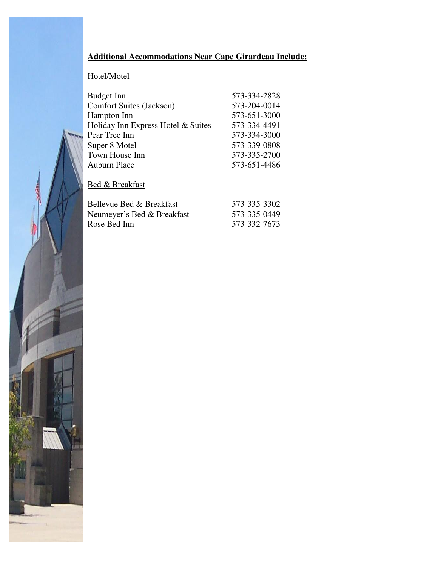## **Additional Accommodations Near Cape Girardeau Include:**

## Hotel/Motel

| Budget Inn                         | 573-334-2828 |
|------------------------------------|--------------|
| <b>Comfort Suites (Jackson)</b>    | 573-204-0014 |
| Hampton Inn                        | 573-651-3000 |
| Holiday Inn Express Hotel & Suites | 573-334-4491 |
| Pear Tree Inn                      | 573-334-3000 |
| Super 8 Motel                      | 573-339-0808 |
| Town House Inn                     | 573-335-2700 |
| <b>Auburn Place</b>                | 573-651-4486 |

## Bed & Breakfast

| Bellevue Bed & Breakfast   | 573-335-3302 |
|----------------------------|--------------|
| Neumeyer's Bed & Breakfast | 573-335-0449 |
| Rose Bed Inn               | 573-332-7673 |

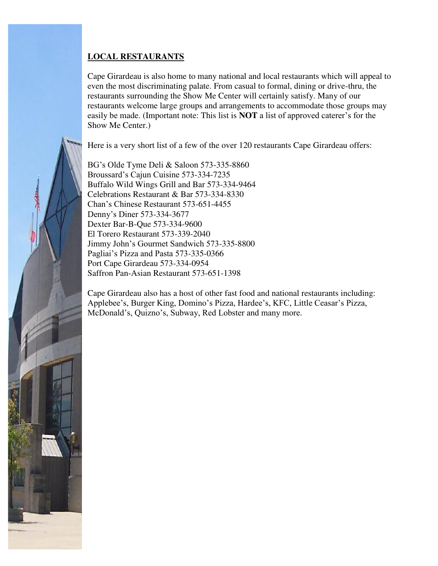## **LOCAL RESTAURANTS**

ł

Cape Girardeau is also home to many national and local restaurants which will appeal to even the most discriminating palate. From casual to formal, dining or drive-thru, the restaurants surrounding the Show Me Center will certainly satisfy. Many of our restaurants welcome large groups and arrangements to accommodate those groups may easily be made. (Important note: This list is **NOT** a list of approved caterer's for the Show Me Center.)

Here is a very short list of a few of the over 120 restaurants Cape Girardeau offers:

BG's Olde Tyme Deli & Saloon 573-335-8860 Broussard's Cajun Cuisine 573-334-7235 Buffalo Wild Wings Grill and Bar 573-334-9464 Celebrations Restaurant & Bar 573-334-8330 Chan's Chinese Restaurant 573-651-4455 Denny's Diner 573-334-3677 Dexter Bar-B-Que 573-334-9600 El Torero Restaurant 573-339-2040 Jimmy John's Gourmet Sandwich 573-335-8800 Pagliai's Pizza and Pasta 573-335-0366 Port Cape Girardeau 573-334-0954 Saffron Pan-Asian Restaurant 573-651-1398

Cape Girardeau also has a host of other fast food and national restaurants including: Applebee's, Burger King, Domino's Pizza, Hardee's, KFC, Little Ceasar's Pizza, McDonald's, Quizno's, Subway, Red Lobster and many more.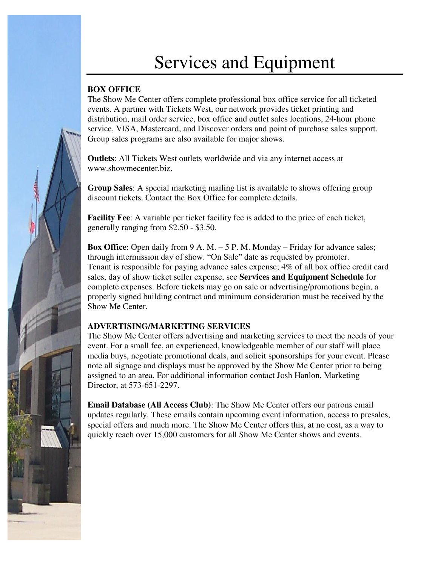# Services and Equipment

## **BOX OFFICE**

The Show Me Center offers complete professional box office service for all ticketed events. A partner with Tickets West, our network provides ticket printing and distribution, mail order service, box office and outlet sales locations, 24-hour phone service, VISA, Mastercard, and Discover orders and point of purchase sales support. Group sales programs are also available for major shows.

**Outlets**: All Tickets West outlets worldwide and via any internet access at www.showmecenter.biz.

**Group Sales**: A special marketing mailing list is available to shows offering group discount tickets. Contact the Box Office for complete details.

**Facility Fee**: A variable per ticket facility fee is added to the price of each ticket, generally ranging from \$2.50 - \$3.50.

**Box Office**: Open daily from 9 A. M. – 5 P. M. Monday – Friday for advance sales; through intermission day of show. "On Sale" date as requested by promoter. Tenant is responsible for paying advance sales expense; 4% of all box office credit card sales, day of show ticket seller expense, see **Services and Equipment Schedule** for complete expenses. Before tickets may go on sale or advertising/promotions begin, a properly signed building contract and minimum consideration must be received by the Show Me Center.

## **ADVERTISING/MARKETING SERVICES**

The Show Me Center offers advertising and marketing services to meet the needs of your event. For a small fee, an experienced, knowledgeable member of our staff will place media buys, negotiate promotional deals, and solicit sponsorships for your event. Please note all signage and displays must be approved by the Show Me Center prior to being assigned to an area. For additional information contact Josh Hanlon, Marketing Director, at 573-651-2297.

**Email Database (All Access Club)**: The Show Me Center offers our patrons email updates regularly. These emails contain upcoming event information, access to presales, special offers and much more. The Show Me Center offers this, at no cost, as a way to quickly reach over 15,000 customers for all Show Me Center shows and events.

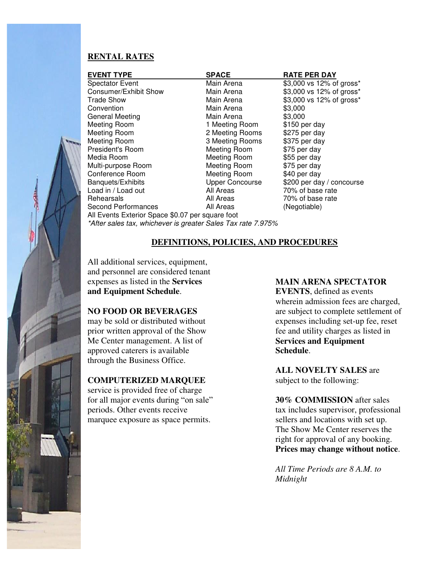## **RENTAL RATES**

| <b>EVENT TYPE</b>                                            | <b>SPACE</b>           | <b>RATE PER DAY</b>       |  |
|--------------------------------------------------------------|------------------------|---------------------------|--|
| <b>Spectator Event</b>                                       | Main Arena             | \$3,000 vs 12% of gross*  |  |
| Consumer/Exhibit Show                                        | Main Arena             | \$3,000 vs 12% of gross*  |  |
| <b>Trade Show</b>                                            | Main Arena             | \$3,000 vs 12% of gross*  |  |
| Convention                                                   | Main Arena             | \$3,000                   |  |
| <b>General Meeting</b>                                       | Main Arena             | \$3,000                   |  |
| Meeting Room                                                 | 1 Meeting Room         | \$150 per day             |  |
| Meeting Room                                                 | 2 Meeting Rooms        | \$275 per day             |  |
| Meeting Room                                                 | 3 Meeting Rooms        | \$375 per day             |  |
| President's Room                                             | Meeting Room           | \$75 per day              |  |
| Media Room                                                   | Meeting Room           | \$55 per day              |  |
| Multi-purpose Room                                           | Meeting Room           | \$75 per day              |  |
| Conference Room                                              | Meeting Room           | \$40 per day              |  |
| Banquets/Exhibits                                            | <b>Upper Concourse</b> | \$200 per day / concourse |  |
| Load in / Load out                                           | All Areas              | 70% of base rate          |  |
| Rehearsals                                                   | All Areas              | 70% of base rate          |  |
| <b>Second Performances</b>                                   | All Areas              | (Negotiable)              |  |
| All Events Exterior Space \$0.07 per square foot             |                        |                           |  |
| *After sales tax, whichever is greater Sales Tax rate 7.975% |                        |                           |  |

## **DEFINITIONS, POLICIES, AND PROCEDURES**

All additional services, equipment, and personnel are considered tenant expenses as listed in the **Services and Equipment Schedule**.

## **NO FOOD OR BEVERAGES**

may be sold or distributed without prior written approval of the Show Me Center management. A list of approved caterers is available through the Business Office.

## **COMPUTERIZED MARQUEE**

service is provided free of charge for all major events during "on sale" periods. Other events receive marquee exposure as space permits.

#### **MAIN ARENA SPECTATOR**

**EVENTS**, defined as events wherein admission fees are charged, are subject to complete settlement of expenses including set-up fee, reset fee and utility charges as listed in **Services and Equipment Schedule**.

**ALL NOVELTY SALES** are subject to the following:

**30% COMMISSION** after sales tax includes supervisor, professional sellers and locations with set up. The Show Me Center reserves the right for approval of any booking. **Prices may change without notice**.

*All Time Periods are 8 A.M. to Midnight*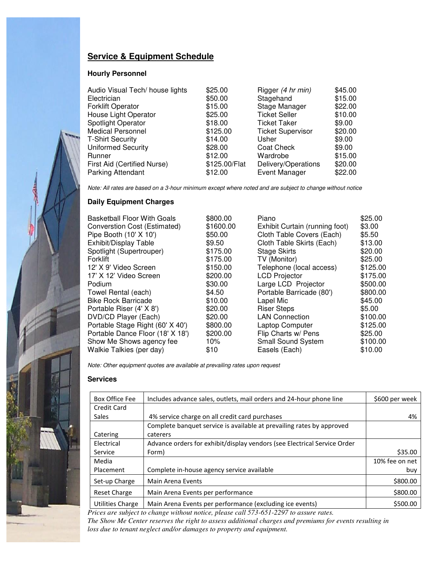## **Service & Equipment Schedule**

#### **Hourly Personnel**

| Audio Visual Tech/ house lights | \$25.00       | Rigger (4 hr min)        | \$45.00 |
|---------------------------------|---------------|--------------------------|---------|
| Electrician                     | \$50.00       | Stagehand                | \$15.00 |
| <b>Forklift Operator</b>        | \$15.00       | Stage Manager            | \$22.00 |
| House Light Operator            | \$25.00       | <b>Ticket Seller</b>     | \$10.00 |
| <b>Spotlight Operator</b>       | \$18.00       | <b>Ticket Taker</b>      | \$9.00  |
| <b>Medical Personnel</b>        | \$125.00      | <b>Ticket Supervisor</b> | \$20.00 |
| <b>T-Shirt Security</b>         | \$14.00       | Usher                    | \$9.00  |
| <b>Uniformed Security</b>       | \$28.00       | <b>Coat Check</b>        | \$9.00  |
| Runner                          | \$12.00       | Wardrobe                 | \$15.00 |
| First Aid (Certified Nurse)     | \$125.00/Flat | Delivery/Operations      | \$20.00 |
| <b>Parking Attendant</b>        | \$12.00       | <b>Event Manager</b>     | \$22.00 |

*Note: All rates are based on a 3-hour minimum except where noted and are subject to change without notice* 

#### **Daily Equipment Charges**

| <b>Basketball Floor With Goals</b> | \$800.00  | Piano                          | \$25.00  |
|------------------------------------|-----------|--------------------------------|----------|
| Converstion Cost (Estimated)       | \$1600.00 | Exhibit Curtain (running foot) | \$3.00   |
| Pipe Booth (10' X 10')             | \$50.00   | Cloth Table Covers (Each)      | \$5.50   |
| Exhibit/Display Table              | \$9.50    | Cloth Table Skirts (Each)      | \$13.00  |
| Spotlight (Supertrouper)           | \$175.00  | <b>Stage Skirts</b>            | \$20.00  |
| Forklift                           | \$175.00  | TV (Monitor)                   | \$25.00  |
| 12' X 9' Video Screen              | \$150.00  | Telephone (local access)       | \$125.00 |
| 17' X 12' Video Screen             | \$200.00  | <b>LCD Projector</b>           | \$175.00 |
| Podium                             | \$30.00   | Large LCD Projector            | \$500.00 |
| Towel Rental (each)                | \$4.50    | Portable Barricade (80')       | \$800.00 |
| <b>Bike Rock Barricade</b>         | \$10.00   | Lapel Mic                      | \$45.00  |
| Portable Riser (4' X 8')           | \$20.00   | <b>Riser Steps</b>             | \$5.00   |
| DVD/CD Player (Each)               | \$20.00   | <b>LAN Connection</b>          | \$100.00 |
| Portable Stage Right (60' X 40')   | \$800.00  | Laptop Computer                | \$125.00 |
| Portable Dance Floor (18' X 18')   | \$200.00  | Flip Charts w/ Pens            | \$25.00  |
| Show Me Shows agency fee           | $10\%$    | <b>Small Sound System</b>      | \$100.00 |
| Walkie Talkies (per day)           | \$10      | Easels (Each)                  | \$10.00  |

*Note: Other equipment quotes are available at prevailing rates upon request* 

#### **Services**

| <b>Box Office Fee</b> | Includes advance sales, outlets, mail orders and 24-hour phone line      | \$600 per week |
|-----------------------|--------------------------------------------------------------------------|----------------|
| <b>Credit Card</b>    |                                                                          |                |
| <b>Sales</b>          | 4% service charge on all credit card purchases                           | 4%             |
|                       | Complete banquet service is available at prevailing rates by approved    |                |
| Catering              | caterers                                                                 |                |
| Electrical            | Advance orders for exhibit/display vendors (see Electrical Service Order |                |
| Service               | Form)                                                                    | \$35.00        |
| Media                 |                                                                          | 10% fee on net |
| Placement             | Complete in-house agency service available                               | buy            |
| Set-up Charge         | Main Arena Events                                                        | \$800.00       |
| <b>Reset Charge</b>   | Main Arena Events per performance                                        | \$800.00       |
| Utilities Charge      | Main Arena Events per performance (excluding ice events)                 | \$500.00       |

*Prices are subject to change without notice, please call 573-651-2297 to assure rates.* 

*The Show Me Center reserves the right to assess additional charges and premiums for events resulting in loss due to tenant neglect and/or damages to property and equipment.*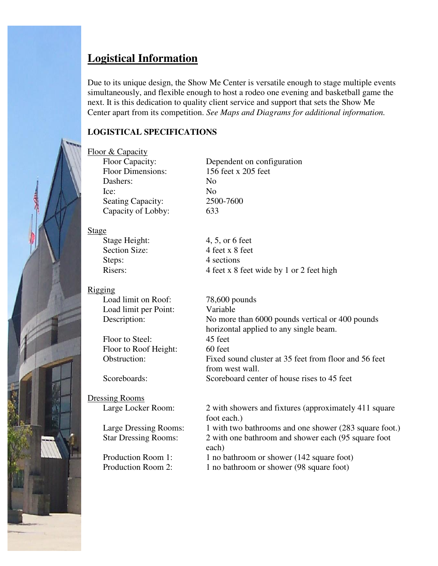## **Logistical Information**

Due to its unique design, the Show Me Center is versatile enough to stage multiple events simultaneously, and flexible enough to host a rodeo one evening and basketball game the next. It is this dedication to quality client service and support that sets the Show Me Center apart from its competition. *See Maps and Diagrams for additional information.* 

## **LOGISTICAL SPECIFICATIONS**

## Floor & Capacity

Floor Dimensions: 156 feet x 205 feet Dashers: No Ice: No Seating Capacity: 2500-7600 Capacity of Lobby: 633

Floor Capacity: Dependent on configuration

## Stage

Stage Height: 4, 5, or 6 feet Steps: 4 sections

Rigging

Load limit per Point: Variable

Floor to Steel: 45 feet Floor to Roof Height: 60 feet

Dressing Rooms

Section Size: 4 feet x 8 feet Risers: 4 feet x 8 feet wide by 1 or 2 feet high

Load limit on Roof: 78,600 pounds Description: No more than 6000 pounds vertical or 400 pounds horizontal applied to any single beam. Obstruction: Fixed sound cluster at 35 feet from floor and 56 feet from west wall. Scoreboards: Scoreboard center of house rises to 45 feet

Large Locker Room: 2 with showers and fixtures (approximately 411 square foot each.) Large Dressing Rooms: 1 with two bathrooms and one shower (283 square foot.) Star Dressing Rooms: 2 with one bathroom and shower each (95 square foot each) Production Room 1: 1 no bathroom or shower (142 square foot)

Production Room 2: 1 no bathroom or shower (98 square foot)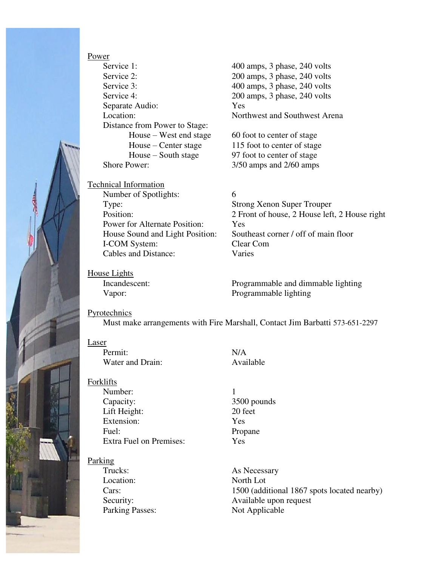

Power Service 1: 400 amps, 3 phase, 240 volts Service 2: 200 amps, 3 phase, 240 volts Service 3: 400 amps, 3 phase, 240 volts Service 4: 200 amps, 3 phase, 240 volts Separate Audio: Yes Location: Northwest and Southwest Arena Distance from Power to Stage:  $House - West end stage$  60 foot to center of stage Shore Power:  $3/50$  amps and  $2/60$  amps

Technical Information Number of Spotlights: 6 Type: Strong Xenon Super Trouper Power for Alternate Position: Yes I-COM System: Clear Com<br>
Cables and Distance: Varies Cables and Distance:

House – Center stage 115 foot to center of stage House – South stage 97 foot to center of stage

Position: 2 Front of house, 2 House left, 2 House right House Sound and Light Position: Southeast corner / off of main floor

House Lights

Incandescent: Programmable and dimmable lighting Vapor: Programmable lighting

## Pyrotechnics

Must make arrangements with Fire Marshall, Contact Jim Barbatti 573-651-2297

## Laser

Permit: N/A<br>Water and Drain: N/A<br>Available Water and Drain:

Forklifts

Number: 1 Capacity: 3500 pounds Lift Height: 20 feet Extension: Yes Fuel: Propane Extra Fuel on Premises: Yes

## Parking

Location: North Lot

Trucks: As Necessary Cars: 1500 (additional 1867 spots located nearby) Security: Available upon request Parking Passes: Not Applicable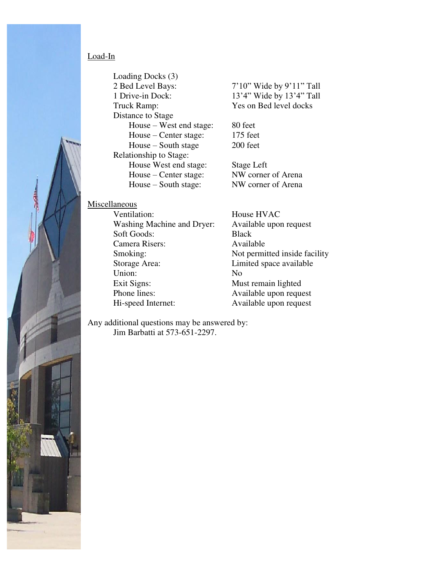## Load-In

Loading Docks (3) 2 Bed Level Bays: 7'10" Wide by 9'11" Tall 1 Drive-in Dock: 13'4" Wide by 13'4" Tall Truck Ramp: Yes on Bed level docks Distance to Stage House – West end stage: 80 feet House – Center stage: 175 feet House – South stage 200 feet Relationship to Stage: House West end stage: Stage Left House – Center stage: NW corner of Arena House – South stage: NW corner of Arena

#### Miscellaneous

í

Ventilation: House HVAC Washing Machine and Dryer: Available upon request Soft Goods: Black Camera Risers: Available Smoking: Not permitted inside facility Storage Area: Limited space available Union: No Exit Signs: Must remain lighted Phone lines: Available upon request

Hi-speed Internet: Available upon request

Any additional questions may be answered by: Jim Barbatti at 573-651-2297.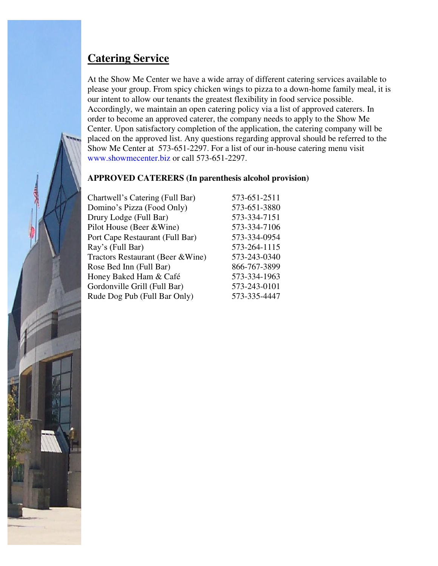## **Catering Service**

At the Show Me Center we have a wide array of different catering services available to please your group. From spicy chicken wings to pizza to a down-home family meal, it is our intent to allow our tenants the greatest flexibility in food service possible. Accordingly, we maintain an open catering policy via a list of approved caterers. In order to become an approved caterer, the company needs to apply to the Show Me Center. Upon satisfactory completion of the application, the catering company will be placed on the approved list. Any questions regarding approval should be referred to the Show Me Center at 573-651-2297. For a list of our in-house catering menu visit www.showmecenter.biz or call 573-651-2297.

## **APPROVED CATERERS (In parenthesis alcohol provision)**

| Chartwell's Catering (Full Bar)   | 573-651-2511 |
|-----------------------------------|--------------|
| Domino's Pizza (Food Only)        | 573-651-3880 |
| Drury Lodge (Full Bar)            | 573-334-7151 |
| Pilot House (Beer & Wine)         | 573-334-7106 |
| Port Cape Restaurant (Full Bar)   | 573-334-0954 |
| Ray's (Full Bar)                  | 573-264-1115 |
| Tractors Restaurant (Beer & Wine) | 573-243-0340 |
| Rose Bed Inn (Full Bar)           | 866-767-3899 |
| Honey Baked Ham & Café            | 573-334-1963 |
| Gordonville Grill (Full Bar)      | 573-243-0101 |
| Rude Dog Pub (Full Bar Only)      | 573-335-4447 |

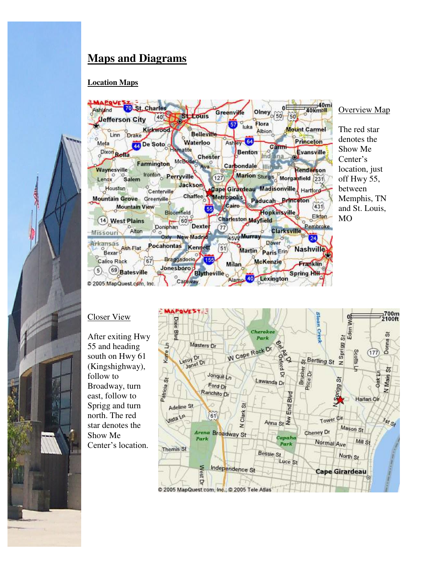## **Maps and Diagrams**

## **Location Maps**





#### Overview Map

The red star denotes the Show Me Center's location, just off Hwy 55, between Memphis, TN and St. Louis, MO

## Closer View

After exiting Hwy 55 and heading south on Hwy 61 (Kingshighway), follow to Broadway, turn east, follow to Sprigg and turn north. The red star denotes the Show Me Center's location.

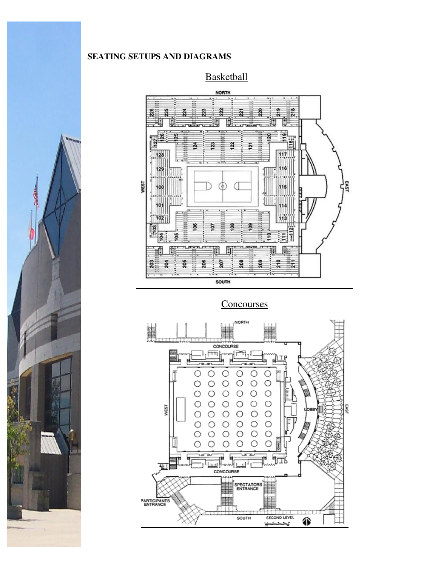## **SEATING SETUPS AND DIAGRAMS**

## **Basketball**



## **Concourses**



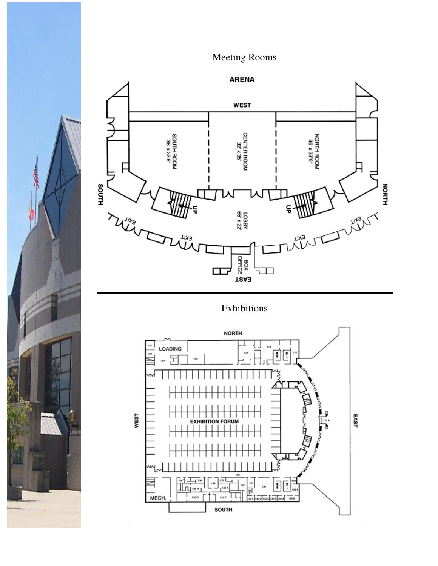## Meeting Rooms



## **Exhibitions**



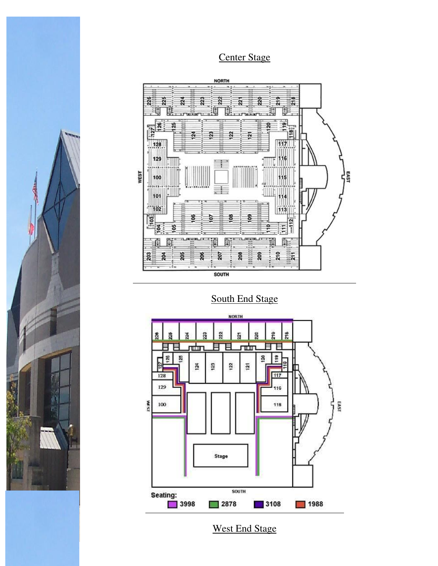## Center Stage



South End Stage



West End Stage

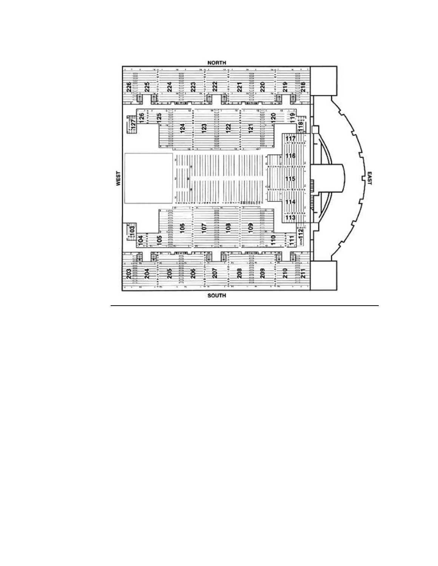